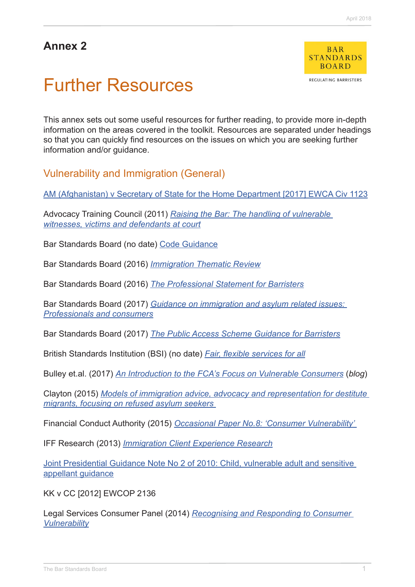# **Annex 2**



REGULATING BARRISTERS

# Further Resources

This annex sets out some useful resources for further reading, to provide more in-depth information on the areas covered in the toolkit. Resources are separated under headings so that you can quickly find resources on the issues on which you are seeking further information and/or guidance.

Vulnerability and Immigration (General)

[AM \(Afghanistan\) v Secretary of State for the Home Department \[2017\] EWCA Civ 1123](http://www.bailii.org/ew/cases/EWCA/Civ/2017/1123.html)

Advocacy Training Council (2011) *[Raising the Bar: The handling of vulnerable](https://www.icca.ac.uk/images/download/advocacy-and-the-vulnerable/raising-the-bar.pdf)  [witnesses, victims and defendants at court](https://www.icca.ac.uk/images/download/advocacy-and-the-vulnerable/raising-the-bar.pdf)*

Bar Standards Board (no date) [Code Guidance](http://www.barstandardsboard.org.uk/regulatory-requirements/bsb-handbook/code-guidance/)

Bar Standards Board (2016) *[Immigration Thematic Review](https://www.barstandardsboard.org.uk/media/1760828/immigration_thematic_review_report_may_2016.pdf)*

Bar Standards Board (2016) *[The Professional Statement for Barristers](https://www.barstandardsboard.org.uk/media/1787559/bsb_professional_statement_and_competences_2016.pdf)*

Bar Standards Board (2017) *[Guidance on immigration and asylum related issues:](https://www.barstandardsboard.org.uk/about-bar-standards-board/resources/june-2017-guidance-on-immigration-and-asylum-related-legal-issues/)  [Professionals and consumers](https://www.barstandardsboard.org.uk/about-bar-standards-board/resources/june-2017-guidance-on-immigration-and-asylum-related-legal-issues/)*

Bar Standards Board (2017) *[The Public Access Scheme Guidance for Barristers](https://www.barstandardsboard.org.uk/media/1725710/the_public_access_scheme_guidance_for_barristers__september_2017_.pdf)*

British Standards Institution (BSI) (no date) *[Fair, flexible services for all](https://www.bsigroup.com/LocalFiles/en-GB/consumer-guides/resources/BSI-Consumer-Brochure-Inclusive-Services-UK-EN.pdf)*

Bulley et.al. (2017) *[An Introduction to the FCA's Focus on Vulnerable Consumers](http://blogs.deloitte.co.uk/financialservices/2017/11/an-introduction-to-the-fcas-focus-on-vulnerable-consumers.html)* (*blog*)

Clayton (2015) *[Models of immigration advice, advocacy and representation for destitute](http://www.naccom.org.uk/wp-content/uploads/2015/09/models-of-immigration-advice1.pdf)  [migrants, focusing on refused asylum seekers](http://www.naccom.org.uk/wp-content/uploads/2015/09/models-of-immigration-advice1.pdf)*

Financial Conduct Authority (2015) *[Occasional Paper No.8: 'Consumer Vulnerability'](https://www.fca.org.uk/publication/occasional-papers/occasional-paper-8.pdf)*

IFF Research (2013) *[Immigration Client Experience Research](https://www.barstandardsboard.org.uk/media/1525842/iff_report__immigration_client_experience_research_final.pdf)*

[Joint Presidential Guidance Note No 2 of 2010: Child, vulnerable adult and sensitive](https://www.judiciary.gov.uk/wp-content/uploads/2014/07/ChildWitnessGuidance.pdf)  appellant quidance

KK v CC [2012] EWCOP 2136

Legal Services Consumer Panel (2014) *[Recognising and Responding to Consumer](http://www.legalservicesconsumerpanel.org.uk/ourwork/vulnerableconsumers/Guide to consumer vulnerability 2014 final.pdf)  [Vulnerability](http://www.legalservicesconsumerpanel.org.uk/ourwork/vulnerableconsumers/Guide to consumer vulnerability 2014 final.pdf)*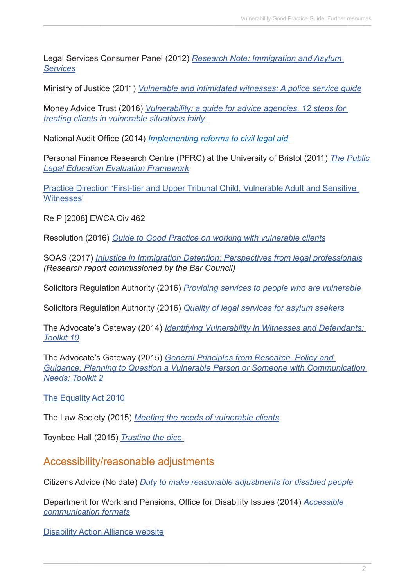Legal Services Consumer Panel (2012) *[Research Note: Immigration and Asylum](http://www.legalservicesconsumerpanel.org.uk/ourwork/vulnerableconsumers/2012 10 10 Immigration desk research and scoping final.pdf)  [Services](http://www.legalservicesconsumerpanel.org.uk/ourwork/vulnerableconsumers/2012 10 10 Immigration desk research and scoping final.pdf)*

Ministry of Justice (2011) *[Vulnerable and intimidated witnesses: A police service guide](file:///C:/Users/ofinlay-smith/Dropbox/BSB/Design/Publications/Vulnerability%20Toolkit/../../../../../../raevans/Downloads/vulnerable-intimidated-witnesses.pdf)*

Money Advice Trust (2016) *[Vulnerability: a guide for advice agencies. 12 steps for](http://www.moneyadvicetrust.org/training/Documents/Vulnerability Guide for Advisers.pdf)  [treating clients in vulnerable situations fairly](http://www.moneyadvicetrust.org/training/Documents/Vulnerability Guide for Advisers.pdf)*

National Audit Office (2014) *[Implementing reforms to civil legal aid](https://www.nao.org.uk/wp-content/uploads/2014/11/Implementing-reforms-to-civil-legal-aid1.pdf)*

Personal Finance Research Centre (PFRC) at the University of Bristol (2011) *[The Public](http://lawforlife.org.uk/wp-content/uploads/2011/12/core-framework-final-version-nov-2011-v2-370.pdf)  [Legal Education Evaluation Framework](http://lawforlife.org.uk/wp-content/uploads/2011/12/core-framework-final-version-nov-2011-v2-370.pdf)*

[Practice Direction 'First-tier and Upper Tribunal Child, Vulnerable Adult and Sensitive](https://www.judiciary.gov.uk/wp-content/uploads/2014/07/Childvulnerableadultandsensitivewitnesses.pdf)  [Witnesses'](https://www.judiciary.gov.uk/wp-content/uploads/2014/07/Childvulnerableadultandsensitivewitnesses.pdf)

Re P [2008] EWCA Civ 462

Resolution (2016) *[Guide to Good Practice on working with vulnerable clients](http://www.resolution.org.uk/site_content_files/files/good_practice_guide_working_with_vulnerable_clients.pdf)*

SOAS (2017) *[Injustice in Immigration Detention: Perspectives from legal professionals](http://www.barcouncil.org.uk/media/623583/171130_injustice_in_immigration_detention_dr_anna_lindley.pdf) (Research report commissioned by the Bar Council)*

Solicitors Regulation Authority (2016) *[Providing services to people who are vulnerable](https://www.sra.org.uk/risk/resources/vulnerable-people.page)*

Solicitors Regulation Authority (2016) *[Quality of legal services for asylum seekers](file:///C:/Users/ofinlay-smith/Dropbox/BSB/Design/Publications/Vulnerability%20Toolkit/../../../../../../raevans/Downloads/asylum-report-14-Jan-2016 (4).pdf)*

The Advocate's Gateway (2014) *[Identifying Vulnerability in Witnesses and Defendants:](http://www.theadvocatesgateway.org/images/toolkits/10identifyingvulnerabilityinwitnessesanddefendants100714.pdf)  [Toolkit 10](http://www.theadvocatesgateway.org/images/toolkits/10identifyingvulnerabilityinwitnessesanddefendants100714.pdf)*

The Advocate's Gateway (2015) *[General Principles from Research, Policy and](http://www.theadvocatesgateway.org/images/toolkits/2-general-principles-from-research-policy-and-guidance-planning-to-question-a-vulnerable-person-or-someone-with-communication-needs-141215.pdf)  [Guidance: Planning to Question a Vulnerable Person or Someone with Communication](http://www.theadvocatesgateway.org/images/toolkits/2-general-principles-from-research-policy-and-guidance-planning-to-question-a-vulnerable-person-or-someone-with-communication-needs-141215.pdf)  [Needs: Toolkit 2](http://www.theadvocatesgateway.org/images/toolkits/2-general-principles-from-research-policy-and-guidance-planning-to-question-a-vulnerable-person-or-someone-with-communication-needs-141215.pdf)*

The Equality Act 2010

The Law Society (2015) *[Meeting the needs of vulnerable clients](http://www.sfe.legal/assets/media/Practice_Note.pdf)*

Toynbee Hall (2015) *[Trusting the dice](http://www.toynbeehall.org.uk/data/files/Immigration_Advice_in_Tower_Hamlets_KEY_FINDINGS_2.pdf)*

Accessibility/reasonable adjustments

Citizens Advice (No date) *[Duty to make reasonable adjustments for disabled people](https://www.citizensadvice.org.uk/law-and-courts/discrimination/what-are-the-different-types-of-discrimination/duty-to-make-reasonable-adjustments-for-disabled-people/)*

Department for Work and Pensions, Office for Disability Issues (2014) *[Accessible](https://www.gov.uk/government/publications/inclusive-communication/accessible-communication-formats)  [communication formats](https://www.gov.uk/government/publications/inclusive-communication/accessible-communication-formats)*

[Disability Action Alliance website](http://disabilityactionalliance.org.uk/)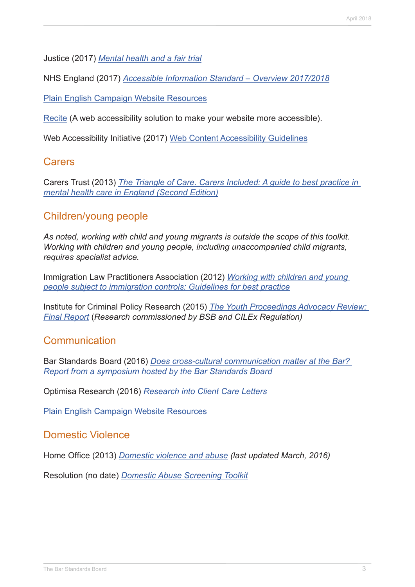Justice (2017) *[Mental health and a fair trial](https://2bquk8cdew6192tsu41lay8t-wpengine.netdna-ssl.com/wp-content/uploads/2017/11/JUSTICE-Mental-Health-and-Fair-Trial-Report-2.pdf)*

NHS England (2017) *[Accessible Information Standard – Overview 2017/2018](https://www.england.nhs.uk/wp-content/uploads/2017/10/accessible-info-standard-overview-2017-18.pdf)*

[Plain English Campaign Website Resources](http://plainenglish.co.uk/free-guides.html)

[Recite](http://www.reciteme.com/) (A web accessibility solution to make your website more accessible).

Web Accessibility Initiative (2017) [Web Content Accessibility Guidelines](https://www.w3.org/TR/WCAG21/#abstract)

#### Carers

Carers Trust (2013) *[The Triangle of Care. Carers Included: A guide to best practice in](https://professionals.carers.org/sites/default/files/thetriangleofcare_guidetobestpracticeinmentalhealthcare_england.pdf)  [mental health care in England \(Second Edition\)](https://professionals.carers.org/sites/default/files/thetriangleofcare_guidetobestpracticeinmentalhealthcare_england.pdf)*

# Children/young people

*As noted, working with child and young migrants is outside the scope of this toolkit. Working with children and young people, including unaccompanied child migrants, requires specialist advice.*

Immigration Law Practitioners Association (2012) *[Working with children and young](file:///C:/Users/ofinlay-smith/Dropbox/BSB/Design/Publications/Vulnerability%20Toolkit/../../../../../../raevans/Downloads/12.04.25-ilpa_child_gdlines_2nd_ed.pdf)  [people subject to immigration controls: Guidelines for best practice](file:///C:/Users/ofinlay-smith/Dropbox/BSB/Design/Publications/Vulnerability%20Toolkit/../../../../../../raevans/Downloads/12.04.25-ilpa_child_gdlines_2nd_ed.pdf)*

Institute for Criminal Policy Research (2015) *[The Youth Proceedings Advocacy Review:](http://www.barstandardsboard.org.uk/media/1712097/yparfinalreportfinal.pdf)  [Final Report](http://www.barstandardsboard.org.uk/media/1712097/yparfinalreportfinal.pdf)* (*Research commissioned by BSB and CILEx Regulation)*

#### **Communication**

Bar Standards Board (2016) *[Does cross-cultural communication matter at the Bar?](https://www.barstandardsboard.org.uk/media/1750588/bsb_ccc_report_april_2016.pdf)  [Report from a symposium hosted by the Bar Standards Board](https://www.barstandardsboard.org.uk/media/1750588/bsb_ccc_report_april_2016.pdf)*

Optimisa Research (2016) *[Research into Client Care Letters](https://www.barstandardsboard.org.uk/media/1794566/client_care_letters_research_report_-_final_021116.pdf)*

[Plain English Campaign Website Resources](http://plainenglish.co.uk/free-guides.html)

#### Domestic Violence

Home Office (2013) *[Domestic violence and abuse](https://www.gov.uk/guidance/domestic-violence-and-abuse) (last updated March, 2016)*

Resolution (no date) *[Domestic Abuse Screening Toolkit](http://www.resolution.org.uk/site_content_files/files/da_leaflet_2.pdf)*